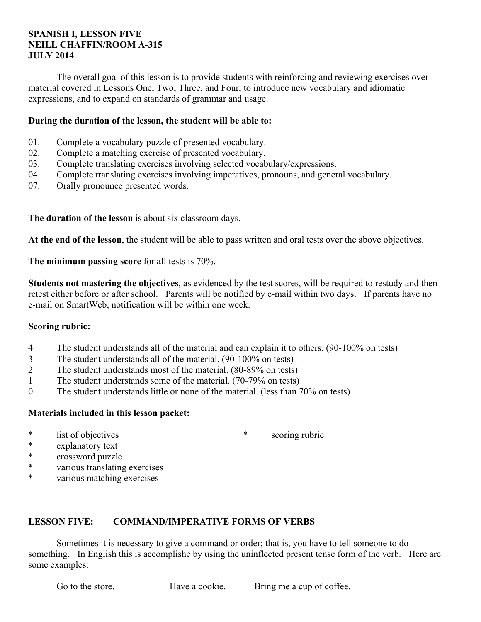### **SPANISH I, LESSON FIVE NEILL CHAFFIN/ROOM A-315 JULY 2014**

 The overall goal of this lesson is to provide students with reinforcing and reviewing exercises over material covered in Lessons One, Two, Three, and Four, to introduce new vocabulary and idiomatic expressions, and to expand on standards of grammar and usage.

### **During the duration of the lesson, the student will be able to:**

- 01. Complete a vocabulary puzzle of presented vocabulary.
- 02. Complete a matching exercise of presented vocabulary.
- 03. Complete translating exercises involving selected vocabulary/expressions.
- 04. Complete translating exercises involving imperatives, pronouns, and general vocabulary.
- 07. Orally pronounce presented words.

**The duration of the lesson** is about six classroom days.

**At the end of the lesson**, the student will be able to pass written and oral tests over the above objectives.

**The minimum passing score** for all tests is 70%.

**Students not mastering the objectives**, as evidenced by the test scores, will be required to restudy and then retest either before or after school. Parents will be notified by e-mail within two days. If parents have no e-mail on SmartWeb, notification will be within one week.

#### **Scoring rubric:**

- 4 The student understands all of the material and can explain it to others. (90-100% on tests)
- 3 The student understands all of the material. (90-100% on tests)
- 2 The student understands most of the material. (80-89% on tests)
- 1 The student understands some of the material. (70-79% on tests)
- 0 The student understands little or none of the material. (less than 70% on tests)

## **Materials included in this lesson packet:**

\* list of objectives

\* scoring rubric

- \* explanatory text
- \* crossword puzzle
- \* various translating exercises
- \* various matching exercises

# **LESSON FIVE: COMMAND/IMPERATIVE FORMS OF VERBS**

 Sometimes it is necessary to give a command or order; that is, you have to tell someone to do something. In English this is accomplishe by using the uninflected present tense form of the verb. Here are some examples:

Go to the store. Have a cookie. Bring me a cup of coffee.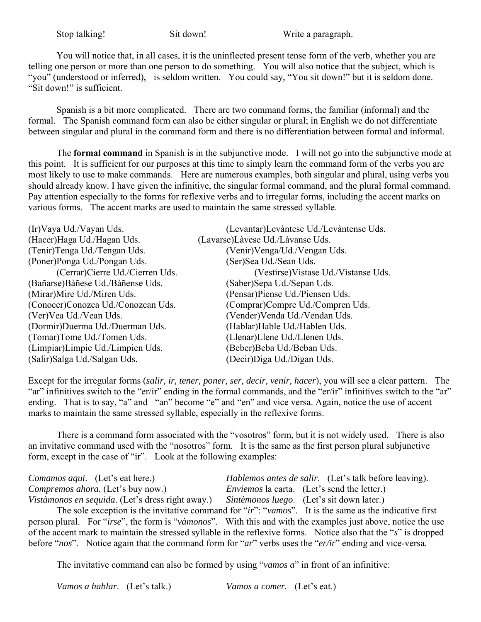Stop talking! Sit down! Write a paragraph.

 You will notice that, in all cases, it is the uninflected present tense form of the verb, whether you are telling one person or more than one person to do something. You will also notice that the subject, which is "you" (understood or inferred), is seldom written. You could say, "You sit down!" but it is seldom done. "Sit down!" is sufficient.

 Spanish is a bit more complicated. There are two command forms, the familiar (informal) and the formal. The Spanish command form can also be either singular or plural; in English we do not differentiate between singular and plural in the command form and there is no differentiation between formal and informal.

 The **formal command** in Spanish is in the subjunctive mode. I will not go into the subjunctive mode at this point. It is sufficient for our purposes at this time to simply learn the command form of the verbs you are most likely to use to make commands. Here are numerous examples, both singular and plural, using verbs you should already know. I have given the infinitive, the singular formal command, and the plural formal command. Pay attention especially to the forms for reflexive verbs and to irregular forms, including the accent marks on various forms. The accent marks are used to maintain the same stressed syllable.

| (Levantar)Levàntese Ud./Levàntense Uds. |
|-----------------------------------------|
| (Lavarse)Làvese Ud./Làvanse Uds.        |
| (Venir) Venga/Ud./Vengan Uds.           |
| (Ser)Sea Ud./Sean Uds.                  |
| (Vestirse) Vistase Ud./Vistanse Uds.    |
| (Saber)Sepa Ud./Sepan Uds.              |
| (Pensar)Piense Ud./Piensen Uds.         |
| (Comprar)Compre Ud./Compren Uds.        |
| (Vender) Venda Ud./Vendan Uds.          |
| (Hablar)Hable Ud./Hablen Uds.           |
| (Llenar)Llene Ud./Llenen Uds.           |
| (Beber)Beba Ud./Beban Uds.              |
| (Decir)Diga Ud./Digan Uds.              |
|                                         |

Except for the irregular forms (*salir, ir, tener, poner, ser, decir, venir, hacer*), you will see a clear pattern. The "ar" infinitives switch to the "er/ir" ending in the formal commands, and the "er/ir" infinitives switch to the "ar" ending. That is to say, "a" and "an" become "e" and "en" and vice versa. Again, notice the use of accent marks to maintain the same stressed syllable, especially in the reflexive forms.

There is a command form associated with the "vosotros" form, but it is not widely used. There is also an invitative command used with the "nosotros" form. It is the same as the first person plural subjunctive form, except in the case of "ir". Look at the following examples:

| <i>Comamos aqui.</i> (Let's eat here.)                                                     | <i>Hablemos antes de salir.</i> (Let's talk before leaving). |
|--------------------------------------------------------------------------------------------|--------------------------------------------------------------|
| <i>Compremos ahora.</i> (Let's buy now.)                                                   | <i>Enviemos</i> la carta. (Let's send the letter.)           |
| Vistàmonos en sequida. (Let's dress right away.) Sintèmonos luego. (Let's sit down later.) |                                                              |

 The sole exception is the invitative command for "*ir*": "*vamos*". It is the same as the indicative first person plural. For "*irse*", the form is "*vàmonos*". With this and with the examples just above, notice the use of the accent mark to maintain the stressed syllable in the reflexive forms. Notice also that the "*s*" is dropped before "*nos*". Notice again that the command form for "*ar*" verbs uses the "*er/ir*" ending and vice-versa.

The invitative command can also be formed by using "*vamos a*" in front of an infinitive:

*Vamos a hablar*. (Let's talk.) *Vamos a comer.* (Let's eat.)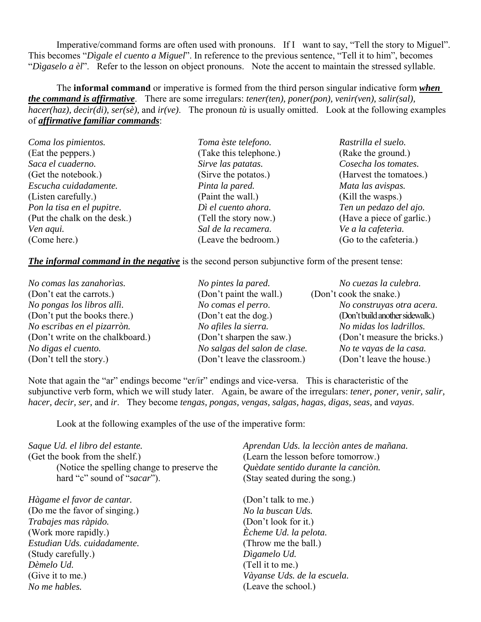Imperative/command forms are often used with pronouns. If I want to say, "Tell the story to Miguel". This becomes "*Dìgale el cuento a Miguel*". In reference to the previous sentence, "Tell it to him", becomes "*Dìgaselo a èl*". Refer to the lesson on object pronouns. Note the accent to maintain the stressed syllable.

 The **informal command** or imperative is formed from the third person singular indicative form *when the command is affirmative*. There are some irregulars: *tener(ten), poner(pon), venir(ven), salir(sal), hacer(haz), decir(di), ser(sè),* and *ir(ve)*. The pronoun *tù* is usually omitted. Look at the following examples of *affirmative familiar commands*:

| Coma los pimientos.          | Toma èste telefono.    | Rastrilla el suelo.       |
|------------------------------|------------------------|---------------------------|
| (Eat the peppers.)           | (Take this telephone.) | (Rake the ground.)        |
| Saca el cuaderno.            | Sirve las patatas.     | Cosecha los tomates.      |
| (Get the notebook.)          | (Sirve the potatos.)   | (Harvest the tomatoes.)   |
| Escucha cuidadamente.        | Pinta la pared.        | Mata las avispas.         |
| (Listen carefully.)          | (Paint the wall.)      | (Kill the wasps.)         |
| Pon la tisa en el pupitre.   | Dì el cuento ahora.    | Ten un pedazo del ajo.    |
| (Put the chalk on the desk.) | (Tell the story now.)  | (Have a piece of garlic.) |
| Ven aqui.                    | Sal de la recamera.    | Ve a la cafeteria.        |
| (Come here.)                 | (Leave the bedroom.)   | (Go to the cafeteria.)    |

**The informal command in the negative** is the second person subjunctive form of the present tense:

| No comas las zanahorias.         | No pintes la pared.           | No cuezas la culebra.           |
|----------------------------------|-------------------------------|---------------------------------|
| (Don't eat the carrots.)         | (Don't paint the wall.)       | (Don't cook the snake.)         |
| No pongas los libros allì.       | No comas el perro.            | No construyas otra acera.       |
| (Don't put the books there.)     | (Don't eat the dog.)          | (Don't build another sidewalk.) |
| No escribas en el pizarròn.      | No afiles la sierra.          | No midas los ladrillos.         |
| (Don't write on the chalkboard.) | (Don't sharpen the saw.)      | (Don't measure the bricks.)     |
| No digas el cuento.              | No salgas del salon de clase. | No te vayas de la casa.         |
| (Don't tell the story.)          | (Don't leave the classroom.)  | (Don't leave the house.)        |

Note that again the "ar" endings become "er/ir" endings and vice-versa. This is characteristic of the subjunctive verb form, which we will study later. Again, be aware of the irregulars: *tener, poner, venir, salir, hacer, decir, ser,* and *ir*. They become *tengas, pongas, vengas, salgas, hagas, digas, seas,* and *vayas*.

Look at the following examples of the use of the imperative form:

| Saque Ud. el libro del estante.<br>(Get the book from the shelf.)<br>(Notice the spelling change to preserve the<br>hard "c" sound of "sacar"). | Aprendan Uds. la lecciòn antes de mañana.<br>(Learn the lesson before tomorrow.)<br>Quèdate sentido durante la canciòn.<br>(Stay seated during the song.) |
|-------------------------------------------------------------------------------------------------------------------------------------------------|-----------------------------------------------------------------------------------------------------------------------------------------------------------|
| Hàgame el favor de cantar.                                                                                                                      | (Don't talk to me.)                                                                                                                                       |
| (Do me the favor of singing.)                                                                                                                   | No la buscan Uds.                                                                                                                                         |
| Trabajes mas ràpido.                                                                                                                            | (Don't look for it.)                                                                                                                                      |
| (Work more rapidly.)                                                                                                                            | Echeme Ud. la pelota.                                                                                                                                     |
| Estudian Uds. cuidadamente.                                                                                                                     | (Throw me the ball.)                                                                                                                                      |
| (Study carefully.)                                                                                                                              | Dìgamelo Ud.                                                                                                                                              |
| Dèmelo Ud.                                                                                                                                      | (Tell it to me.)                                                                                                                                          |
| (Give it to me.)                                                                                                                                | Vàyanse Uds. de la escuela.                                                                                                                               |
| No me hables.                                                                                                                                   | (Leave the school.)                                                                                                                                       |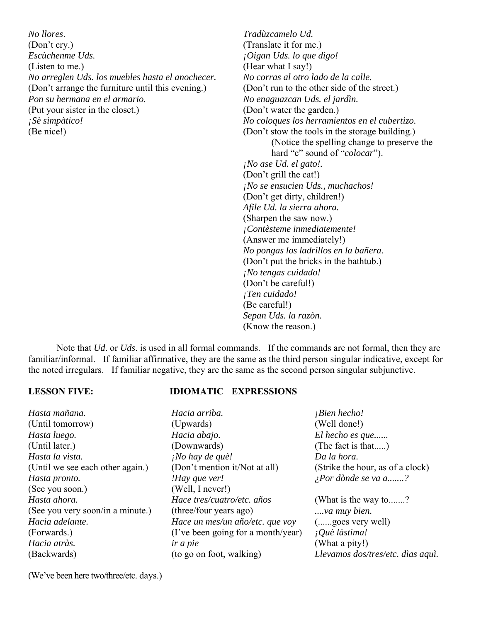*No llores*. (Don't cry.) *Escùchenme Uds.* (Listen to me.) *No arreglen Uds. los muebles hasta el anochecer.* (Don't arrange the furniture until this evening.) *Pon su hermana en el armario.* (Put your sister in the closet.) *¡Sè simpàtico!* (Be nice!)

*Tradùzcamelo Ud.* (Translate it for me.) *¡Oigan Uds. lo que digo!* (Hear what I say!) *No corras al otro lado de la calle.* (Don't run to the other side of the street.) *No enaguazcan Uds. el jardìn.* (Don't water the garden.) *No coloques los herramientos en el cubertizo.* (Don't stow the tools in the storage building.) (Notice the spelling change to preserve the hard "c" sound of "*colocar*"). *¡No ase Ud. el gato!.* (Don't grill the cat!) *¡No se ensucien Uds., muchachos!* (Don't get dirty, children!) *Afile Ud. la sierra ahora.* (Sharpen the saw now.) *¡Contèsteme inmediatemente!* (Answer me immediately!) *No pongas los ladrillos en la bañera.* (Don't put the bricks in the bathtub.) *¡No tengas cuidado!* (Don't be careful!) *¡Ten cuidado!* (Be careful!) *Sepan Uds. la razòn.* (Know the reason.)

 Note that *Ud*. or *Uds*. is used in all formal commands. If the commands are not formal, then they are familiar/informal. If familiar affirmative, they are the same as the third person singular indicative, except for the noted irregulars. If familiar negative, they are the same as the second person singular subjunctive.

#### **LESSON FIVE: IDIOMATIC EXPRESSIONS**

| Hasta mañana.                    | Hacia arriba.                      | i <sub>i</sub> Bien hecho!        |
|----------------------------------|------------------------------------|-----------------------------------|
| (Until tomorrow)                 | (Upwards)                          | (Well done!)                      |
| Hasta luego.                     | Hacia abajo.                       | El hecho es que                   |
| (Until later.)                   | (Downwards)                        | (The fact is that)                |
| Hasta la vista.                  | ¡No hay de què!                    | Da la hora.                       |
| (Until we see each other again.) | (Don't mention it/Not at all)      | (Strike the hour, as of a clock)  |
| Hasta pronto.                    | !Hay que ver!                      | $\lambda$ Por dònde se va a?      |
| (See you soon.)                  | (Well, I never!)                   |                                   |
| Hasta ahora.                     | Hace tres/cuatro/etc. años         | (What is the way to?              |
| (See you very soon/in a minute.) | (three/four years ago)             | ya muy bien.                      |
| Hacia adelante.                  | Hace un mes/un año/etc. que voy    | ( goes very well)                 |
| (Forwards.)                      | (I've been going for a month/year) | ¡Què làstima!                     |
| Hacia atràs.                     | <i>ir a pie</i>                    | (What a pity!)                    |
| (Backwards)                      | (to go on foot, walking)           | Llevamos dos/tres/etc. dìas aquì. |
|                                  |                                    |                                   |

(We've been here two/three/etc. days.)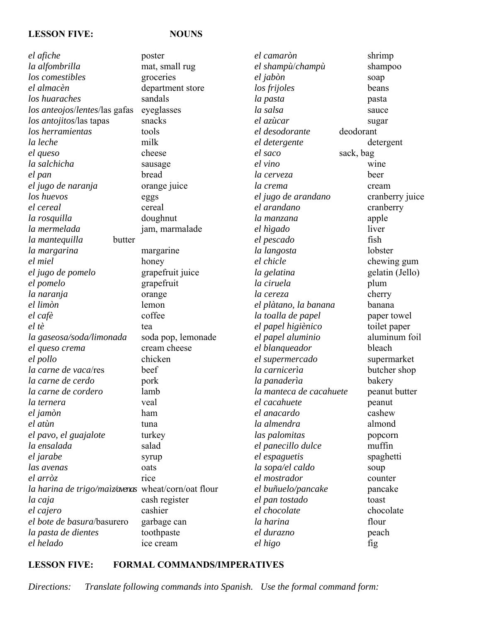### **LESSON FIVE: NOUNS**

| el afiche                                           | poster             |
|-----------------------------------------------------|--------------------|
| la alfombrilla                                      | mat, small rug     |
| los comestibles                                     | groceries          |
| el almacèn                                          | department store   |
| los huaraches                                       | sandals            |
| los anteojos/lentes/las gafas                       | eyeglasses         |
| los antojitos/las tapas                             | snacks             |
| los herramientas                                    | tools              |
| la leche                                            | milk               |
| el queso                                            | cheese             |
| la salchicha                                        | sausage            |
| el pan                                              | bread              |
| el jugo de naranja                                  | orange juice       |
| los huevos                                          | eggs               |
| el cereal                                           | cereal             |
| la rosquilla                                        | doughnut           |
| la mermelada                                        | jam, marmalade     |
| butter<br>la mantequilla                            |                    |
| la margarina                                        | margarine          |
| el miel                                             | honey              |
| el jugo de pomelo                                   | grapefruit juice   |
| el pomelo                                           | grapefruit         |
| la naranja                                          | orange             |
| el limòn                                            | lemon              |
| el cafè                                             | coffee             |
| el tè                                               | tea                |
| la gaseosa/soda/limonada                            | soda pop, lemonade |
| el queso crema                                      | cream cheese       |
| el pollo                                            | chicken            |
| la carne de vaca/res                                | beef               |
| la carne de cerdo                                   | pork               |
| la carne de cordero                                 | lamb               |
| la ternera                                          | veal               |
| el jamòn                                            | ham                |
| el atùn                                             | tuna               |
| el pavo, el guajalote                               | turkey             |
| la ensalada                                         | salad              |
| el jarabe                                           | syrup              |
| las avenas                                          | oats               |
| el arròz                                            | rice               |
| la harina de trigo/maìz/avenas wheat/corn/oat flour |                    |
| la caja                                             | cash register      |
| el cajero                                           | cashier            |
| el bote de basura/basurero                          | garbage can        |
| la pasta de dientes                                 | toothpaste         |
| el helado                                           | ice cream          |
|                                                     |                    |

*el camaròn* shrimp *el shampù*/*champù* shampoo *el jabòn* soap *los frijoles* beans *la pasta* pasta *la salsa* sauce *el azùcar* sugar *el desodorante* deodorant *el detergente* detergent *el saco* sack, bag *el vino* wine *la cerveza* beer *la crema* cream *el jugo de arandano* cranberry juice *el arandano* cranberry *la manzana* apple *el hìgado* liver *el pescado* fish *la langosta* lobster *el chicle* chewing gum *la gelatina* gelatin (Jello) *la ciruela* plum *la cereza* cherry *el plàtano, la banana* banana *la toalla de papel* paper towel *el papel higiènico* toilet paper *el papel aluminio* aluminum foil *el blanqueador* bleach *el supermercado* supermarket *la carnicerìa* butcher shop *la panaderìa* bakery *la manteca de cacahuete* peanut butter *el cacahuete* peanut *el anacardo* cashew *la almendra* almond *las palomitas* popcorn *el panecillo dulce* muffin *el espaguetis* spaghetti *la sopa/el caldo* soup *el mostrador* counter *el buñuelo/pancake* pancake *el pan tostado* toast *el chocolate* chocolate *la harina* flour *el durazno* peach *el higo* fig

## **LESSON FIVE: FORMAL COMMANDS/IMPERATIVES**

*Directions: Translate following commands into Spanish. Use the formal command form:*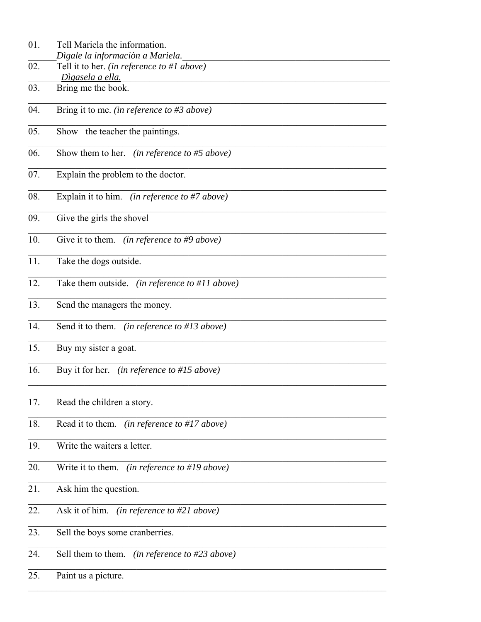- $01.$ Tell Mariela the information. Dìgale la informaciòn a Mariela.
- $\overline{02}$ . Tell it to her. (in reference to #1 above) Dìgasela a ella.
- 03. Bring me the book.
- Bring it to me. (in reference to #3 above)  $04.$
- Show the teacher the paintings.  $\overline{05}$
- 06. Show them to her. *(in reference to #5 above)*
- Explain the problem to the doctor. 07.
- Explain it to him. (in reference to #7 above) 08.
- 09. Give the girls the shovel
- $\overline{10}$ Give it to them. (in reference to #9 above)
- $11.$ Take the dogs outside.
- $12.$ Take them outside. (in reference to #11 above)
- 13. Send the managers the money.
- Send it to them. *(in reference to #13 above)*  $14<sub>1</sub>$
- Buy my sister a goat.  $\overline{15}$ .
- 16. Buy it for her. (in reference to #15 above)
- 17. Read the children a story.
- 18. Read it to them. (in reference to #17 above)
- 19. Write the waiters a letter.
- 20. Write it to them. (in reference to #19 above)
- $\overline{21}$ . Ask him the question.
- $\overline{22}$ . Ask it of him. *(in reference to #21 above)*
- Sell the boys some cranberries. 23.
- Sell them to them. (in reference to  $#23$  above) 24.
- 25. Paint us a picture.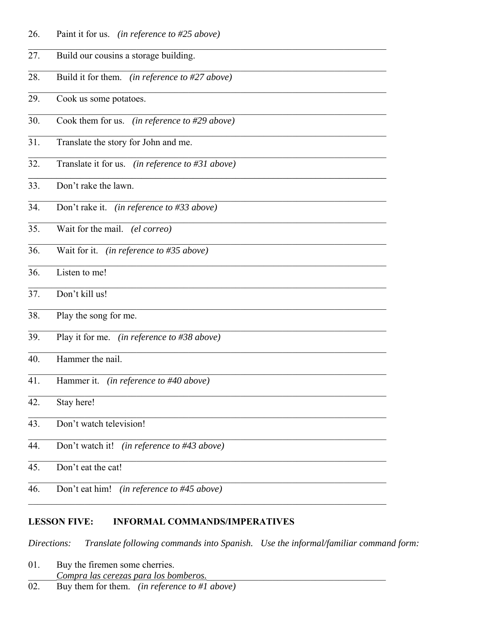- 26. Paint it for us. (in reference to #25 above)
- 27. Build our cousins a storage building. 28. Build it for them. (in reference to  $\#27$  above) 29. Cook us some potatoes. 30. Cook them for us. (in reference to #29 above) 31. Translate the story for John and me. 32. Translate it for us. *(in reference to #31 above)* 33. Don't rake the lawn. 34. Don't rake it. (in reference to #33 above) 35. Wait for the mail. *(el correo)* 36. Wait for it. (in reference to  $\#35$  above) 36. Listen to me! 37. Don't kill us! 38. Play the song for me. 39. Play it for me. (in reference to #38 above) Hammer the nail. 40. 41. Hammer it. *(in reference to #40 above)*  $\overline{42.}$ Stay here! Don't watch television! 43. 44. Don't watch it! (in reference to #43 above) 45. Don't eat the cat! Don't eat him! (in reference to #45 above) 46.

#### **LESSON FIVE: INFORMAL COMMANDS/IMPERATIVES**

Translate following commands into Spanish. Use the informal/familiar command form: Directions:

- 01. Buy the firemen some cherries. Compra las cerezas para los bomberos.
- 02. Buy them for them. (in reference to #1 above)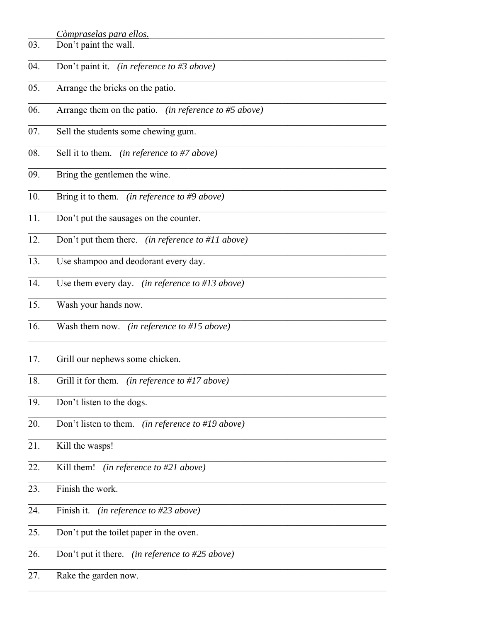|     | Còmpraselas para ellos.                               |
|-----|-------------------------------------------------------|
| 03. | Don't paint the wall.                                 |
| 04. | Don't paint it. (in reference to #3 above)            |
| 05. | Arrange the bricks on the patio.                      |
| 06. | Arrange them on the patio. (in reference to #5 above) |
| 07. | Sell the students some chewing gum.                   |
| 08. | Sell it to them.<br>(in reference to #7 above)        |
| 09. | Bring the gentlemen the wine.                         |
| 10. | Bring it to them. (in reference to #9 above)          |
| 11. | Don't put the sausages on the counter.                |
| 12. | Don't put them there. (in reference to #11 above)     |
| 13. | Use shampoo and deodorant every day.                  |
| 14. | Use them every day. (in reference to #13 above)       |
| 15. | Wash your hands now.                                  |
| 16. | Wash them now. (in reference to #15 above)            |
| 17. | Grill our nephews some chicken.                       |
| 18. | Grill it for them. (in reference to #17 above)        |
| 19. | Don't listen to the dogs.                             |
| 20. | Don't listen to them. (in reference to #19 above)     |
| 21. | Kill the wasps!                                       |
| 22. | Kill them!<br>(in reference to #21 above)             |
| 23. | Finish the work.                                      |
| 24. | Finish it.<br>(in reference to $\#23$ above)          |
| 25. | Don't put the toilet paper in the oven.               |
| 26. | Don't put it there.<br>(in reference to #25 above)    |
| 27. | Rake the garden now.                                  |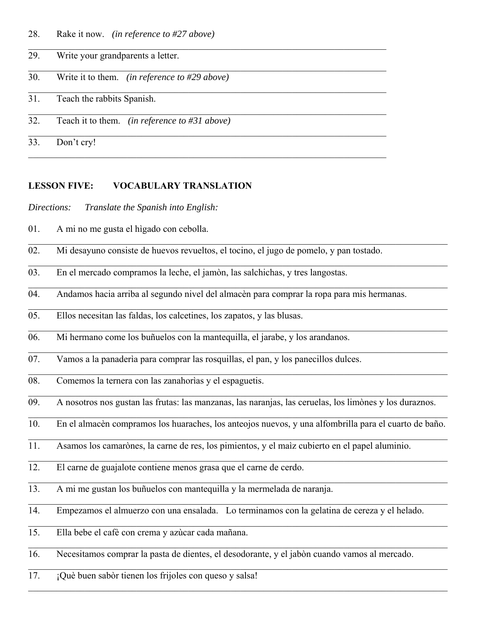| 28. |  | Rake it now. <i>(in reference to #27 above)</i> |  |
|-----|--|-------------------------------------------------|--|
|-----|--|-------------------------------------------------|--|

| 29. | Write your grandparents a letter.                |
|-----|--------------------------------------------------|
| 30. | Write it to them. (in reference to #29 above)    |
| 31. | Teach the rabbits Spanish.                       |
| 32. | Teach it to them. (in reference to $\#31$ above) |
| 33. | Don't cry!                                       |

### **LESSON FIVE: VOCABULARY TRANSLATION**

*Directions: Translate the Spanish into English:*

- 01. A mi no me gusta el hìgado con cebolla.
- 02. Mi desayuno consiste de huevos revueltos, el tocino, el jugo de pomelo, y pan tostado.
- 03. En el mercado compramos la leche, el jamòn, las salchichas, y tres langostas.
- 04. Andamos hacia arriba al segundo nivel del almacèn para comprar la ropa para mis hermanas.
- 05. Ellos necesitan las faldas, los calcetines, los zapatos, y las blusas.  $\mathcal{L}_\mathcal{L} = \mathcal{L}_\mathcal{L} = \mathcal{L}_\mathcal{L} = \mathcal{L}_\mathcal{L} = \mathcal{L}_\mathcal{L} = \mathcal{L}_\mathcal{L} = \mathcal{L}_\mathcal{L} = \mathcal{L}_\mathcal{L} = \mathcal{L}_\mathcal{L} = \mathcal{L}_\mathcal{L} = \mathcal{L}_\mathcal{L} = \mathcal{L}_\mathcal{L} = \mathcal{L}_\mathcal{L} = \mathcal{L}_\mathcal{L} = \mathcal{L}_\mathcal{L} = \mathcal{L}_\mathcal{L} = \mathcal{L}_\mathcal{L}$
- 06. Mi hermano come los buñuelos con la mantequilla, el jarabe, y los arandanos.
- 07. Vamos a la panaderìa para comprar las rosquillas, el pan, y los panecillos dulces.
- 08. Comemos la ternera con las zanahorìas y el espaguetis.
- 09. A nosotros nos gustan las frutas: las manzanas, las naranjas, las ceruelas, los limònes y los duraznos.
- 10. En el almacèn compramos los huaraches, los anteojos nuevos, y una alfombrilla para el cuarto de baño.  $\mathcal{L}_\mathcal{L} = \mathcal{L}_\mathcal{L} = \mathcal{L}_\mathcal{L} = \mathcal{L}_\mathcal{L} = \mathcal{L}_\mathcal{L} = \mathcal{L}_\mathcal{L} = \mathcal{L}_\mathcal{L} = \mathcal{L}_\mathcal{L} = \mathcal{L}_\mathcal{L} = \mathcal{L}_\mathcal{L} = \mathcal{L}_\mathcal{L} = \mathcal{L}_\mathcal{L} = \mathcal{L}_\mathcal{L} = \mathcal{L}_\mathcal{L} = \mathcal{L}_\mathcal{L} = \mathcal{L}_\mathcal{L} = \mathcal{L}_\mathcal{L}$
- 11. Asamos los camarònes, la carne de res, los pimientos, y el maìz cubierto en el papel aluminio.
- 12. El carne de guajalote contiene menos grasa que el carne de cerdo.
- 13. A mi me gustan los buñuelos con mantequilla y la mermelada de naranja.
- 14. Empezamos el almuerzo con una ensalada. Lo terminamos con la gelatina de cereza y el helado.
- 15. Ella bebe el cafè con crema y azùcar cada mañana.  $\mathcal{L}_\mathcal{L} = \mathcal{L}_\mathcal{L} = \mathcal{L}_\mathcal{L} = \mathcal{L}_\mathcal{L} = \mathcal{L}_\mathcal{L} = \mathcal{L}_\mathcal{L} = \mathcal{L}_\mathcal{L} = \mathcal{L}_\mathcal{L} = \mathcal{L}_\mathcal{L} = \mathcal{L}_\mathcal{L} = \mathcal{L}_\mathcal{L} = \mathcal{L}_\mathcal{L} = \mathcal{L}_\mathcal{L} = \mathcal{L}_\mathcal{L} = \mathcal{L}_\mathcal{L} = \mathcal{L}_\mathcal{L} = \mathcal{L}_\mathcal{L}$
- 16. Necesitamos comprar la pasta de dientes, el desodorante, y el jabòn cuando vamos al mercado.
- 17. ¡Què buen sabòr tienen los frijoles con queso y salsa!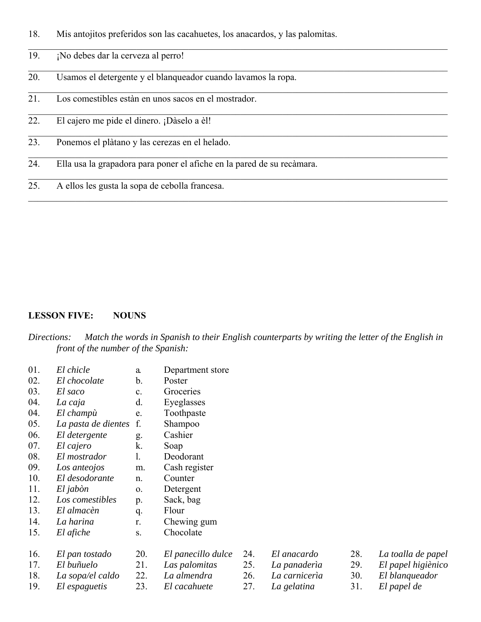- 18. Mis antojitos preferidos son las cacahuetes, los anacardos, y las palomitas.
- 19. ¡No debes dar la cerveza al perro!
- 20. Usamos el detergente y el blanqueador cuando lavamos la ropa.
- 21. Los comestibles estàn en unos sacos en el mostrador.
- 22. El cajero me pide el dinero. ¡Dàselo a èl!
- 23. Ponemos el plàtano y las cerezas en el helado.
- 24. Ella usa la grapadora para poner el afiche en la pared de su recàmara.
- 25. A ellos les gusta la sopa de cebolla francesa.

### **LESSON FIVE: NOUNS**

*Directions: Match the words in Spanish to their English counterparts by writing the letter of the English in front of the number of the Spanish:*

| 01. | El chicle           | a.             | Department store   |
|-----|---------------------|----------------|--------------------|
| 02. | El chocolate        | b.             | Poster             |
| 03. | El saco             | $\mathbf{c}$ . | Groceries          |
| 04. | La caja             | d.             | Eyeglasses         |
| 04. | El champù           | e.             | Toothpaste         |
| 05. | La pasta de dientes | f.             | Shampoo            |
| 06. | El detergente       | g.             | Cashier            |
| 07. | El cajero           | k.             | Soap               |
| 08. | El mostrador        | 1.             | Deodorant          |
| 09. | Los anteojos        | m.             | Cash register      |
| 10. | El desodorante      | n.             | Counter            |
| 11. | El jabòn            | $\Omega$ .     | Detergent          |
| 12. | Los comestibles     | p.             | Sack, bag          |
| 13. | El almacèn          | q.             | Flour              |
| 14. | La harina           | r.             | Chewing gum        |
| 15. | El afiche           | S.             | Chocolate          |
|     |                     |                |                    |
| 16. | El pan tostado      | 20.            | El panecillo dulce |
| 17. | El buñuelo          | 21.            | Las palomitas      |

- 18. *La sopa/el caldo* 19. *El espaguetis* 22. *La almendra* 23. *El cacahuete*
- 25. *La panaderìa*

24. *El anacardo*

- 26. *La carnicerìa*
- 27. *La gelatina*
- 28. *La toalla de papel*
- 29. *El papel higiènico*
- 30. *El blanqueador*
- 31. *El papel de*